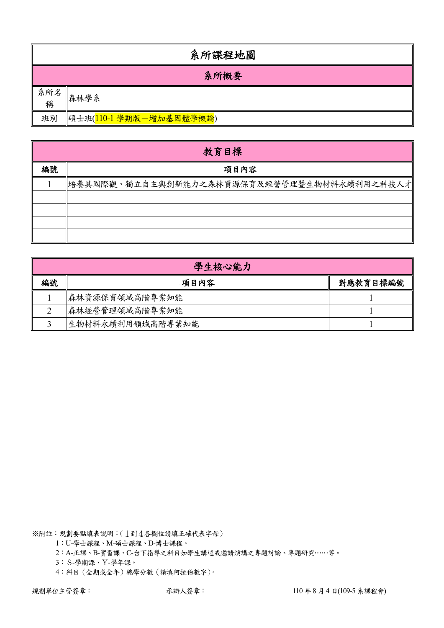|          | 系所課程地圖                  |  |  |  |  |  |  |  |
|----------|-------------------------|--|--|--|--|--|--|--|
|          | 系所概要                    |  |  |  |  |  |  |  |
| 系所名<br>稱 | 森林學系                    |  |  |  |  |  |  |  |
| 班別       | 碩士班(110-1 學期版一增加基因體學概論) |  |  |  |  |  |  |  |

|    | 教育目標                                       |
|----|--------------------------------------------|
| 編號 | 項目內容                                       |
|    | 培養具國際觀、獨立自主與創新能力之森林資源保育及經營管理暨生物材料永續利用之科技人才 |
|    |                                            |
|    |                                            |
|    |                                            |
|    |                                            |

|    | 學生核心能力           |          |  |  |  |  |  |  |  |
|----|------------------|----------|--|--|--|--|--|--|--|
| 編號 | 項目內容             | 對應教育目標編號 |  |  |  |  |  |  |  |
|    | 森林資源保育領域高階專業知能   |          |  |  |  |  |  |  |  |
|    | 森林經營管理領域高階專業知能   |          |  |  |  |  |  |  |  |
|    | 生物材料永續利用領域高階專業知能 |          |  |  |  |  |  |  |  |

1:U-學士課程、M-碩士課程、D-博士課程。

2:A-正課、B-實習課、C-台下指導之科目如學生講述或邀請演講之專題討論、專題研究……等。

3:S-學期課、Y-學年課。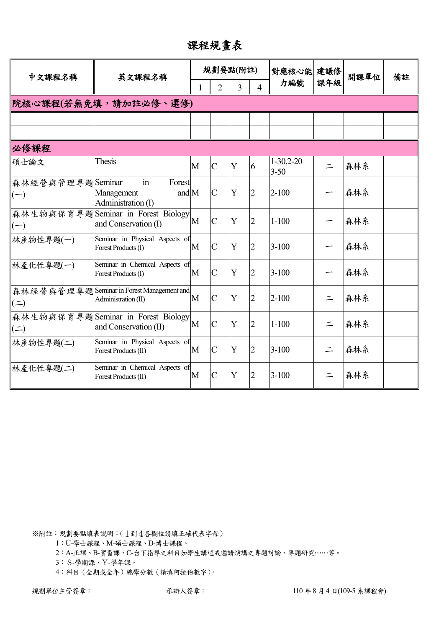課程規畫表

| 中文課程名稱                    | 英文課程名稱                                                               |   |                | 規劃要點(附註) |                | 對應核心能 建議修               |          | 開課單位 | 備註 |
|---------------------------|----------------------------------------------------------------------|---|----------------|----------|----------------|-------------------------|----------|------|----|
|                           |                                                                      |   | $\overline{2}$ | 3        | $\Delta$       | 力編號                     | 課年級      |      |    |
|                           | 院核心課程(若無免填,請加註必修、選修)                                                 |   |                |          |                |                         |          |      |    |
|                           |                                                                      |   |                |          |                |                         |          |      |    |
|                           |                                                                      |   |                |          |                |                         |          |      |    |
| 必修課程                      |                                                                      |   |                |          |                |                         |          |      |    |
| 碩士論文                      | <b>Thesis</b>                                                        | M | $\overline{C}$ | Y        | 6              | $1-30,2-20$<br>$3 - 50$ | $\equiv$ | 森林系  |    |
| 森林經營與管理專題Seminar<br>$(-)$ | $\mathbf{in}$<br>Forest<br>and M<br>Management<br>Administration (I) |   | $\mathcal{C}$  | Y        | $\overline{2}$ | $2 - 100$               |          | 森林系  |    |
| $(-)$                     | 森林生物與保育專題Seminar in Forest Biology<br>and Conservation (I)           | M | $\overline{C}$ | Y        | $\overline{2}$ | $1 - 100$               |          | 森林系  |    |
| 林產物性專題(一)                 | Seminar in Physical Aspects of<br>Forest Products (I)                | M | $\mathcal{C}$  | Y        | 2              | $3-100$                 |          | 森林系  |    |
| 林產化性專題(一)                 | Seminar in Chemical Aspects of<br>Forest Products (I)                | M | $\overline{C}$ | Y        | $\overline{2}$ | $3 - 100$               |          | 森林系  |    |
| $($ $\Rightarrow$         | 森林經營與管理專題Seminar in Forest Management and<br>Administration (II)     | M | $\mathcal{C}$  | Y        | $\overline{2}$ | $2 - 100$               | $\equiv$ | 森林系  |    |
| $($ = $)$                 | 森林生物與保育專題Seminar in Forest Biology<br>and Conservation (II)          | M | $\overline{C}$ | Y        | $\overline{2}$ | $1 - 100$               | $\equiv$ | 森林系  |    |
| 林產物性專題(二)                 | Seminar in Physical Aspects of<br>Forest Products (II)               | M | $\overline{C}$ | Y        | $\overline{2}$ | $3 - 100$               | $\equiv$ | 森林系  |    |
| 林產化性專題(二)                 | Seminar in Chemical Aspects of<br>Forest Products (II)               | M | $\overline{C}$ | Y        | $\overline{2}$ | $3 - 100$               |          | 森林系  |    |

1:U-學士課程、M-碩士課程、D-博士課程。

2:A-正課、B-實習課、C-台下指導之科目如學生講述或邀請演講之專題討論、專題研究……等。

3:S-學期課、Y-學年課。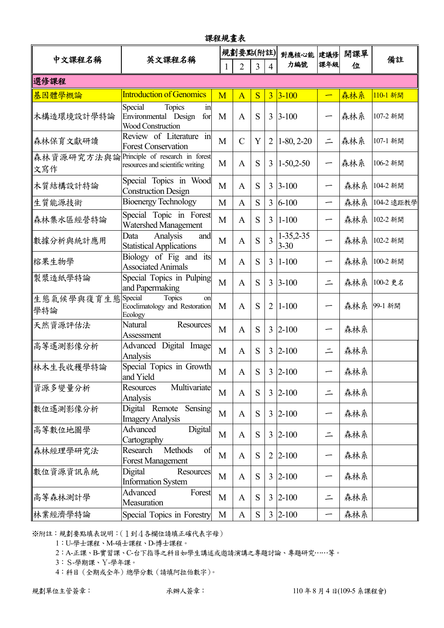| 課程規畫表             |                                                                                        |   |                |           |                |                              |          |     |            |  |
|-------------------|----------------------------------------------------------------------------------------|---|----------------|-----------|----------------|------------------------------|----------|-----|------------|--|
| 中文課程名稱            | 英文課程名稱                                                                                 |   | 規劃要點(附註)       |           |                | 對應核心能                        | 建議修      | 開課單 | 備註         |  |
|                   |                                                                                        |   | $\overline{2}$ | 3         | $\overline{4}$ | 力編號                          | 課年級      | 位   |            |  |
| 選修課程              |                                                                                        |   |                |           |                |                              |          |     |            |  |
| 基因體學概論            | <b>Introduction of Genomics</b>                                                        | M | $\overline{A}$ | S         | $\overline{3}$ | $3 - 100$                    |          | 森林系 | 110-1 新開   |  |
| 木構造環境設計學特論        | Special<br><b>Topics</b><br>$\sin$<br>Environmental Design<br>for<br>Wood Construction | M | $\mathbf{A}$   | S         | 3              | $3 - 100$                    |          | 森林系 | 107-2 新開   |  |
| 森林保育文獻研讀          | Review of Literature in<br><b>Forest Conservation</b>                                  | M | $\mathcal{C}$  | Y         | $\overline{2}$ | $1-80, 2-20$                 | 二        | 森林系 | 107-1 新開   |  |
| 森林資源研究方法與論<br>文寫作 | Principle of research in forest<br>resources and scientific writing                    | M | A              | S         | 3              | $1-50,2-50$                  |          | 森林系 | 106-2 新開   |  |
| 木質結構設計特論          | Special Topics in Wood<br><b>Construction Design</b>                                   | M | $\mathbf{A}$   | S         |                | $3 3-100$                    |          | 森林系 | 104-2 新開   |  |
| 生質能源技術            | <b>Bioenergy Technology</b>                                                            | M | A              | S         | 3              | $6 - 100$                    |          | 森林系 | 104-2 遠距教學 |  |
| 森林集水區經營特論         | Special Topic in Forest<br>Watershed Management                                        | M | $\mathbf{A}$   | S         |                | $3 \mid 1 - 100$             |          | 森林系 | 102-2 新開   |  |
| 數據分析與統計應用         | Analysis<br>Data<br>and<br><b>Statistical Applications</b>                             | M | $\mathbf{A}$   | S         | 3              | $1 - 35, 2 - 35$<br>$3 - 30$ |          | 森林系 | 102-2 新開   |  |
| 榕果生物學             | Biology of Fig and its<br><b>Associated Animals</b>                                    | M | $\mathbf{A}$   | S         | 3              | $1-100$                      |          | 森林系 | 100-2 新開   |  |
| 製漿造紙學特論           | Special Topics in Pulping<br>and Papermaking                                           | M | $\mathbf{A}$   | S         |                | $3 \, 3 - 100$               | $\equiv$ | 森林系 | 100-2 更名   |  |
| 生態氣候學與復育生態<br>學特論 | Special<br>Topics<br>on<br>Ecoclimatology and Restoration<br>Ecology                   | M | A              | S         | $\overline{2}$ | $1 - 100$                    |          | 森林系 | 99-1 新開    |  |
| 天然資源評估法           | Natural<br>Resources<br>Assessment                                                     | M | A              | S         |                | $3 2-100$                    |          | 森林系 |            |  |
| 高等遙測影像分析          | Advanced Digital Image<br>Analysis                                                     | M | $\mathbf{A}$   | S         |                | $3 2-100$                    |          | 森林系 |            |  |
| 林木生長收穫學特論         | Special Topics in Growth<br>and Yield                                                  | M | $\mathbf{A}$   | S         |                | $3 2-100$                    | —        | 森林系 |            |  |
| 資源多變量分析           | Multivariate<br><b>Resources</b><br>Analysis                                           | M | $\mathbf{A}$   | S         |                | $3 2-100$                    | $\equiv$ | 森林系 |            |  |
| 數位遙測影像分析          | Digital Remote<br>Sensing<br><b>Imagery Analysis</b>                                   | M | $\mathbf{A}$   | S         |                | $3 2-100$                    | —        | 森林系 |            |  |
| 高等數位地圖學           | Advanced<br>Digital<br>Cartography                                                     | M | $\mathbf{A}$   | S         |                | $3 2-100$                    | $\equiv$ | 森林系 |            |  |
| 森林經理學研究法          | Methods<br>Research<br>of<br><b>Forest Management</b>                                  | M | $\mathbf{A}$   | S         |                | $2 2-100$                    |          | 森林系 |            |  |
| 數位資源資訊系統          | Digital<br>Resources<br><b>Information System</b>                                      | M | $\mathbf{A}$   | S         |                | $3 \, 2 - 100$               |          | 森林系 |            |  |
| 高等森林測計學           | Advanced<br>Forest<br>Measuration                                                      | M | $\mathbf{A}$   | S         |                | $3 2-100$                    | $\equiv$ | 森林系 |            |  |
| 林業經濟學特論           | Special Topics in Forestry                                                             | M | $\mathbf{A}$   | ${\bf S}$ |                | $3 \, 2 - 100$               | —        | 森林系 |            |  |

1:U-學士課程、M-碩士課程、D-博士課程。

2:A-正課、B-實習課、C-台下指導之科目如學生講述或邀請演講之專題討論、專題研究……等。

3:S-學期課、Y-學年課。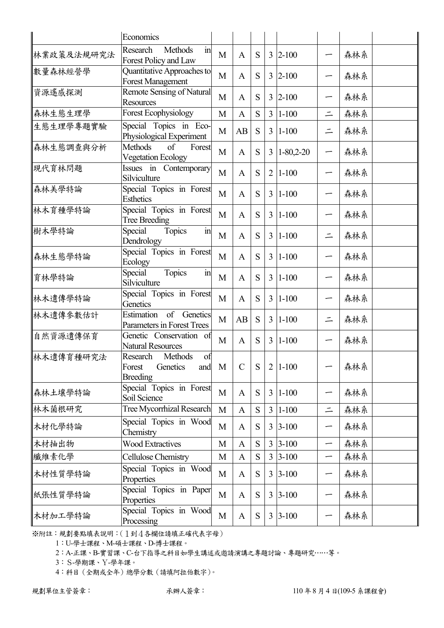|            | Economics                                                             |              |               |           |                |                 |                          |     |  |
|------------|-----------------------------------------------------------------------|--------------|---------------|-----------|----------------|-----------------|--------------------------|-----|--|
| 林業政策及法規研究法 | $\overline{m}$<br><b>Methods</b><br>Research<br>Forest Policy and Law | M            | $\mathbf{A}$  | S         |                | $3 \, 2 - 100$  |                          | 森林系 |  |
| 數量森林經營學    | Quantitative Approaches to<br><b>Forest Management</b>                | M            | A             | S         |                | $3 \;  2 - 100$ | ∽                        | 森林系 |  |
| 資源遙感探測     | Remote Sensing of Natural<br><b>Resources</b>                         | M            | A             | S         |                | $3 \, 2 - 100$  | —                        | 森林系 |  |
| 森林生態生理學    | <b>Forest Ecophysiology</b>                                           | M            | $\mathbf{A}$  | S         | $\overline{3}$ | $1 - 100$       | $\equiv$                 | 森林系 |  |
| 生態生理學專題實驗  | Special Topics in Eco-<br>Physiological Experiment                    | M            | AB            | S         | 3              | $ 1-100$        | $\equiv$                 | 森林系 |  |
| 森林生態調查與分析  | <b>Methods</b><br>of<br>Forest<br><b>Vegetation Ecology</b>           | M            | A             | S         | $\overline{3}$ | $1 - 80,2 - 20$ | ∽                        | 森林系 |  |
| 現代育林問題     | Issues in Contemporary<br>Silviculture                                | M            | $\mathbf{A}$  | S         | $\overline{2}$ | $1 - 100$       | —                        | 森林系 |  |
| 森林美學特論     | Special Topics in Forest<br><b>Esthetics</b>                          | M            | $\mathbf{A}$  | S         | $\overline{3}$ | $1 - 100$       |                          | 森林系 |  |
| 林木育種學特論    | Special Topics in Forest<br><b>Tree Breeding</b>                      | M            | A             | S         |                | $3 1-100$       | —                        | 森林系 |  |
| 樹木學特論      | Topics<br>$\operatorname{in}$<br>Special<br>Dendrology                | M            | $\mathbf{A}$  | S         | $\overline{3}$ | $1 - 100$       | $\equiv$                 | 森林系 |  |
| 森林生態學特論    | Special Topics in Forest<br>Ecology                                   | M            | $\mathbf{A}$  | S         |                | $3 \mid 1-100$  |                          | 森林系 |  |
| 育林學特論      | Topics<br>Special<br>$\operatorname{in}$<br>Silviculture              | M            | A             | S         | $\overline{3}$ | $ 1-100$        |                          | 森林系 |  |
| 林木遺傳學特論    | Special Topics in Forest<br>Genetics                                  | M            | A             | S         | 3              | $1 - 100$       | -                        | 森林系 |  |
| 林木遺傳參數估計   | Estimation<br>of<br>Genetics<br>Parameters in Forest Trees            | M            | AB            | S         |                | $3 \mid 1-100$  | $\equiv$                 | 森林系 |  |
| 自然資源遺傳保育   | Genetic Conservation of<br><b>Natural Resources</b>                   | M            | A             | S         |                | $3 \mid 1-100$  |                          | 森林系 |  |
| 林木遺傳育種研究法  | Methods<br>of<br>Research<br>Genetics<br>Forest<br><b>Breeding</b>    | and M        | $\mathcal{C}$ | S         |                | $2 1-100$       |                          | 森林系 |  |
| 森林土壤學特論    | Special Topics in Forest<br>Soil Science                              | M            | $\mathbf{A}$  | S         |                | $3 1-100$       | —                        | 森林系 |  |
| 林木菌根研究     | Tree Mycorrhizal Research                                             | $\mathbf{M}$ | $\mathbf{A}$  | S         | $\overline{3}$ | $1 - 100$       | $\equiv$                 | 森林系 |  |
| 木材化學特論     | Special Topics in Wood<br>Chemistry                                   | M            | $\mathbf{A}$  | S         |                | $3 3-100$       | —                        | 森林系 |  |
| 木材抽出物      | <b>Wood Extractives</b>                                               | M            | $\mathbf{A}$  | ${\bf S}$ |                | $3 3-100$       | $\overline{\phantom{0}}$ | 森林系 |  |
| 纖維素化學      | Cellulose Chemistry                                                   | M            | $\mathbf{A}$  | ${\bf S}$ |                | $3 3-100$       | —                        | 森林系 |  |
| 木材性質學特論    | Special Topics in Wood<br>Properties                                  | M            | $\mathbf{A}$  | S         |                | $3 3-100$       | -                        | 森林系 |  |
| 紙張性質學特論    | Special Topics in Paper<br>Properties                                 | M            | $\mathbf{A}$  | S         |                | $3 3-100$       |                          | 森林系 |  |
| 木材加工學特論    | Special Topics in Wood<br>Processing                                  | M            | $\mathbf{A}$  | ${\bf S}$ |                | $3 3-100$       |                          | 森林系 |  |

1:U-學士課程、M-碩士課程、D-博士課程。

2:A-正課、B-實習課、C-台下指導之科目如學生講述或邀請演講之專題討論、專題研究……等。

3:S-學期課、Y-學年課。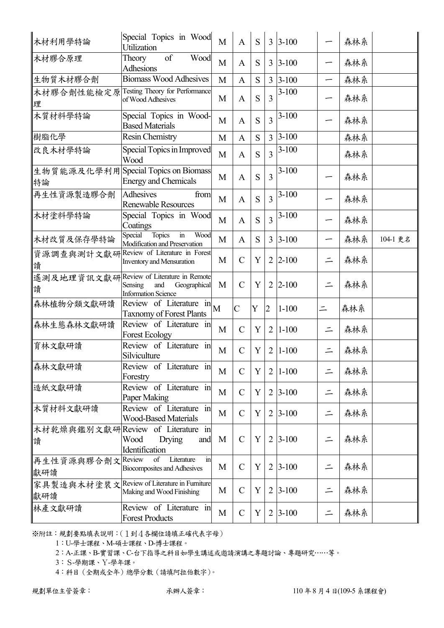| 木材利用學特論           | Special Topics in Wood<br>Utilization                                                                    | M              | A             | S |                | $3 \mid 3 - 100$ |          | 森林系 |          |
|-------------------|----------------------------------------------------------------------------------------------------------|----------------|---------------|---|----------------|------------------|----------|-----|----------|
| 木材膠合原理            | of<br>Wood<br>Theory<br>Adhesions                                                                        | M              | A             | S | 3              | $3 - 100$        |          | 森林系 |          |
| 生物質木材膠合劑          | <b>Biomass Wood Adhesives</b>                                                                            | M              | A             | S | 3              | $3 - 100$        |          | 森林系 |          |
| 木材膠合劑性能檢定原<br>理   | Testing Theory for Performance<br>of Wood Adhesives                                                      | M              | A             | S | $\overline{3}$ | $3 - 100$        |          | 森林系 |          |
| 木質材料學特論           | Special Topics in Wood-<br><b>Based Materials</b>                                                        | M              | $\mathbf{A}$  | S | 3              | $3 - 100$        |          | 森林系 |          |
| 樹脂化學              | Resin Chemistry                                                                                          | M              | A             | S | $\overline{3}$ | $3 - 100$        |          | 森林系 |          |
| 改良木材學特論           | Special Topics in Improved<br>Wood                                                                       | M              | $\mathbf{A}$  | S | $\overline{3}$ | $3 - 100$        |          | 森林系 |          |
| 特論                | 生物質能源及化學利用Special Topics on Biomass<br><b>Energy and Chemicals</b>                                       | M              | A             | S | 3              | $3 - 100$        |          | 森林系 |          |
| 再生性資源製造膠合劑        | <b>Adhesives</b><br>from<br><b>Renewable Resources</b>                                                   | M              | $\mathbf{A}$  | S | $\overline{3}$ | $3-100$          |          | 森林系 |          |
| 木材塗料學特論           | Special Topics in Wood<br>Coatings                                                                       | M              | A             | S | $\overline{3}$ | $3 - 100$        |          | 森林系 |          |
| 木材改質及保存學特論        | Topics<br>$\operatorname{in}$<br>Special<br>Wood<br>Modification and Preservation                        | M              | $\mathbf{A}$  | S | 3              | $3 - 100$        |          | 森林系 | 104-1 更名 |
| 資源調查與測計文獻研<br>讀   | Review of Literature in Forest<br><b>Inventory and Mensuration</b>                                       | M              | $\mathbf C$   | Y | 2              | $2 - 100$        | $\equiv$ | 森林系 |          |
| 讀                 | 遙測及地理資訊文獻研Review of Literature in Remote<br>Geographical<br>Sensing<br>and<br><b>Information Science</b> | M              | $\mathcal{C}$ | Y | $\overline{2}$ | $2 - 100$        | $\equiv$ | 森林系 |          |
| 森林植物分類文獻研讀        | Review of Literature in<br><b>Taxnomy of Forest Plants</b>                                               | $\overline{M}$ | $\mathbf C$   | Y | 2              | $1 - 100$        | $\equiv$ | 森林系 |          |
| 森林生態森林文獻研讀        | Review of Literature in<br><b>Forest Ecology</b>                                                         | M              | $\mathbf C$   | Y | 2              | $1 - 100$        | $\equiv$ | 森林系 |          |
| 育林文獻研讀            | Review of Literature in<br>Silviculture                                                                  | M              | $\mathcal{C}$ | Y | $\overline{2}$ | $1 - 100$        |          | 森林系 |          |
| 森林文獻研讀            | Review of Literature in<br>Forestry                                                                      | M              | $\mathcal{C}$ | Y | $\overline{2}$ | $1 - 100$        | $\equiv$ | 森林系 |          |
| 造紙文獻研讀            | Review of Literature in<br>Paper Making                                                                  | M              | $\mathcal{C}$ | Y | 2              | $3 - 100$        | $\equiv$ | 森林系 |          |
| 木質材料文獻研讀          | Review of Literature in<br><b>Wood-Based Materials</b>                                                   | M              | $\mathcal{C}$ | Y | 2              | $3 - 100$        | $\equiv$ | 森林系 |          |
| 讀                 | 木材乾燥與鑑別文獻研 Review of Literature in<br>Wood<br><b>Drying</b><br>and<br>Identification                     | M              | $\mathbf C$   | Y | 2              | $3 - 100$        | $\equiv$ | 森林系 |          |
| 再生性資源與膠合劑文<br>獻研讀 | Literature<br>of<br>$\mathbf{in}$<br>Review<br><b>Biocomposites and Adhesives</b>                        | M              | $\mathcal{C}$ | Y | 2              | $3 - 100$        | $\equiv$ | 森林系 |          |
| 獻研讀               | 家具製造與木材塗裝文Review of Literature in Furniture<br>Making and Wood Finishing                                 | M              | $\mathbf C$   | Y | $\overline{2}$ | $3 - 100$        | $\equiv$ | 森林系 |          |
| 林產文獻研讀            | Review of Literature in<br><b>Forest Products</b>                                                        | M              | $\mathcal{C}$ | Y | 2              | $3 - 100$        | $\equiv$ | 森林系 |          |

1:U-學士課程、M-碩士課程、D-博士課程。

2:A-正課、B-實習課、C-台下指導之科目如學生講述或邀請演講之專題討論、專題研究……等。

3:S-學期課、Y-學年課。